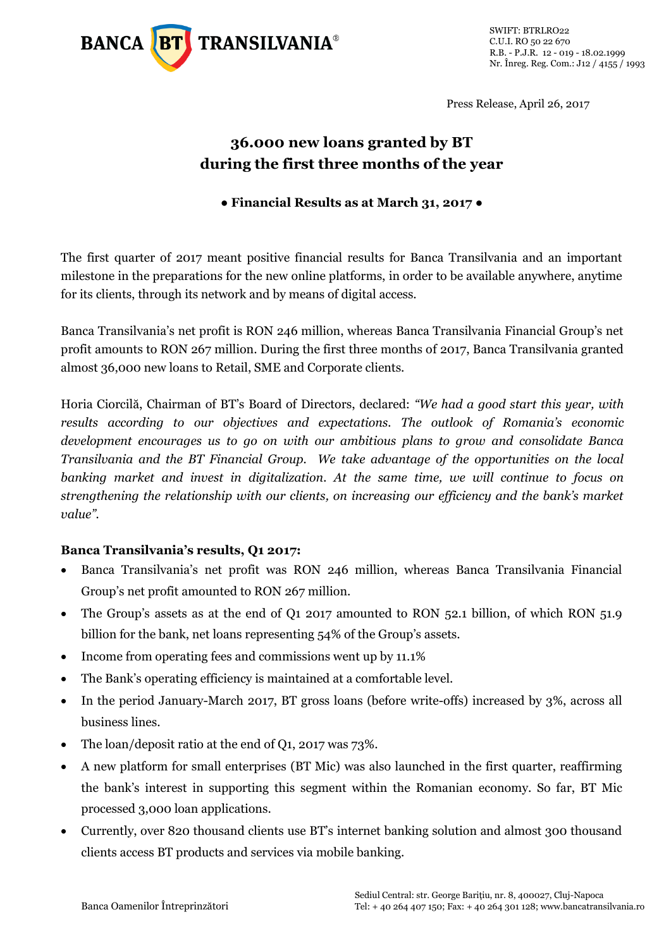

Press Release, April 26, 2017

## **36.000 new loans granted by BT during the first three months of the year**

## **● Financial Results as at March 31, 2017 ●**

The first quarter of 2017 meant positive financial results for Banca Transilvania and an important milestone in the preparations for the new online platforms, in order to be available anywhere, anytime for its clients, through its network and by means of digital access.

Banca Transilvania's net profit is RON 246 million, whereas Banca Transilvania Financial Group's net profit amounts to RON 267 million. During the first three months of 2017, Banca Transilvania granted almost 36,000 new loans to Retail, SME and Corporate clients.

Horia Ciorcilă, Chairman of BT's Board of Directors, declared: *"We had a good start this year, with results according to our objectives and expectations. The outlook of Romania's economic development encourages us to go on with our ambitious plans to grow and consolidate Banca Transilvania and the BT Financial Group. We take advantage of the opportunities on the local banking market and invest in digitalization. At the same time, we will continue to focus on strengthening the relationship with our clients, on increasing our efficiency and the bank's market value".*

## **Banca Transilvania's results, Q1 2017:**

- Banca Transilvania's net profit was RON 246 million, whereas Banca Transilvania Financial Group's net profit amounted to RON 267 million.
- The Group's assets as at the end of Q1 2017 amounted to RON 52.1 billion, of which RON 51.9 billion for the bank, net loans representing 54% of the Group's assets.
- Income from operating fees and commissions went up by 11.1%
- The Bank's operating efficiency is maintained at a comfortable level.
- In the period January-March 2017, BT gross loans (before write-offs) increased by 3%, across all business lines.
- The loan/deposit ratio at the end of Q1, 2017 was 73%.
- A new platform for small enterprises (BT Mic) was also launched in the first quarter, reaffirming the bank's interest in supporting this segment within the Romanian economy. So far, BT Mic processed 3,000 loan applications.
- Currently, over 820 thousand clients use BT's internet banking solution and almost 300 thousand clients access BT products and services via mobile banking.